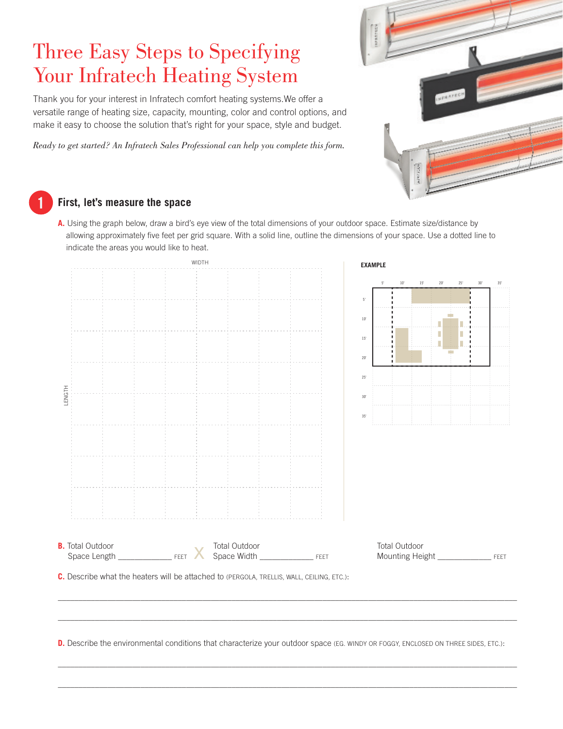# Three Easy Steps to Specifying Your Infratech Heating System

Thank you for your interest in Infratech comfort heating systems.We offer a versatile range of heating size, capacity, mounting, color and control options, and make it easy to choose the solution that's right for your space, style and budget.

*Ready to get started? An Infratech Sales Professional can help you complete this form.* 



# **1**

## **First, let's measure the space**

**A.** Using the graph below, draw a bird's eye view of the total dimensions of your outdoor space. Estimate size/distance by allowing approximately five feet per grid square. With a solid line, outline the dimensions of your space. Use a dotted line to indicate the areas you would like to heat.

|                         |                                                                                           |               | WIDTH |  |  |                                                          | <b>EXAMPLE</b> |              |            |              |              |              |              |
|-------------------------|-------------------------------------------------------------------------------------------|---------------|-------|--|--|----------------------------------------------------------|----------------|--------------|------------|--------------|--------------|--------------|--------------|
|                         |                                                                                           |               |       |  |  |                                                          | $5^\circ$      | $10^{\circ}$ | $15^\circ$ | $20^{\circ}$ | $25^{\circ}$ | $30^{\circ}$ | $35^{\circ}$ |
|                         |                                                                                           |               |       |  |  | $5^\circ$                                                |                |              |            |              |              |              |              |
|                         |                                                                                           |               |       |  |  | $10^{\circ}$                                             |                |              |            |              |              |              |              |
|                         |                                                                                           |               |       |  |  | $15'$                                                    |                |              |            | Г            |              |              |              |
|                         |                                                                                           |               |       |  |  |                                                          |                |              |            |              |              |              |              |
|                         |                                                                                           |               |       |  |  | $20^{\circ}$                                             |                |              |            |              |              |              |              |
|                         |                                                                                           |               |       |  |  | $25^{\circ}$                                             |                |              |            |              |              |              |              |
|                         |                                                                                           |               |       |  |  | $30^{\circ}$                                             |                |              |            |              |              |              |              |
|                         |                                                                                           |               |       |  |  | 35'                                                      |                |              |            |              |              |              |              |
|                         |                                                                                           |               |       |  |  |                                                          |                |              |            |              |              |              |              |
|                         |                                                                                           |               |       |  |  |                                                          |                |              |            |              |              |              |              |
|                         |                                                                                           |               |       |  |  |                                                          |                |              |            |              |              |              |              |
|                         |                                                                                           |               |       |  |  |                                                          |                |              |            |              |              |              |              |
|                         |                                                                                           |               |       |  |  |                                                          |                |              |            |              |              |              |              |
|                         |                                                                                           |               |       |  |  |                                                          |                |              |            |              |              |              |              |
|                         |                                                                                           |               |       |  |  |                                                          |                |              |            |              |              |              |              |
| <b>B.</b> Total Outdoor |                                                                                           | Total Outdoor |       |  |  | Total Outdoor<br>Mounting Height __________________ FEET |                |              |            |              |              |              |              |
|                         | C. Describe what the heaters will be attached to (PERGOLA, TRELLIS, WALL, CEILING, ETC.): |               |       |  |  |                                                          |                |              |            |              |              |              |              |
|                         |                                                                                           |               |       |  |  |                                                          |                |              |            |              |              |              |              |
|                         |                                                                                           |               |       |  |  |                                                          |                |              |            |              |              |              |              |
|                         |                                                                                           |               |       |  |  |                                                          |                |              |            |              |              |              |              |

**D.** Describe the environmental conditions that characterize your outdoor space (EG. WINDY OR FOGGY, ENCLOSED ON THREE SIDES, ETC.):

\_\_\_\_\_\_\_\_\_\_\_\_\_\_\_\_\_\_\_\_\_\_\_\_\_\_\_\_\_\_\_\_\_\_\_\_\_\_\_\_\_\_\_\_\_\_\_\_\_\_\_\_\_\_\_\_\_\_\_\_\_\_\_\_\_\_\_\_\_\_\_\_\_\_\_\_\_\_\_\_\_\_\_\_\_\_\_\_\_\_\_\_\_\_\_\_\_\_\_\_\_\_\_\_\_\_\_\_\_\_\_

\_\_\_\_\_\_\_\_\_\_\_\_\_\_\_\_\_\_\_\_\_\_\_\_\_\_\_\_\_\_\_\_\_\_\_\_\_\_\_\_\_\_\_\_\_\_\_\_\_\_\_\_\_\_\_\_\_\_\_\_\_\_\_\_\_\_\_\_\_\_\_\_\_\_\_\_\_\_\_\_\_\_\_\_\_\_\_\_\_\_\_\_\_\_\_\_\_\_\_\_\_\_\_\_\_\_\_\_\_\_\_